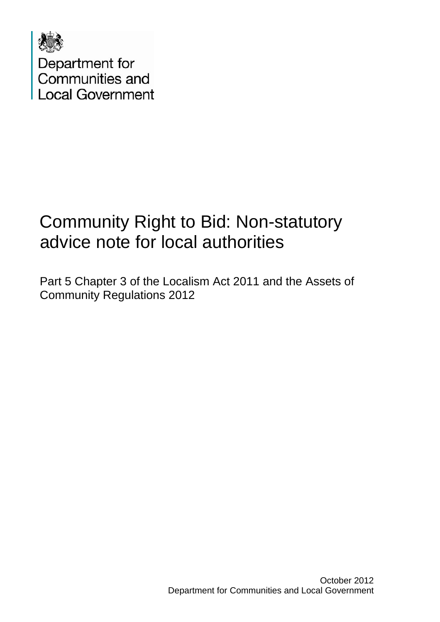

Department for<br>Communities and **Local Government** 

### Community Right to Bid: Non-statutory advice note for local authorities

Part 5 Chapter 3 of the Localism Act 2011 and the Assets of Community Regulations 2012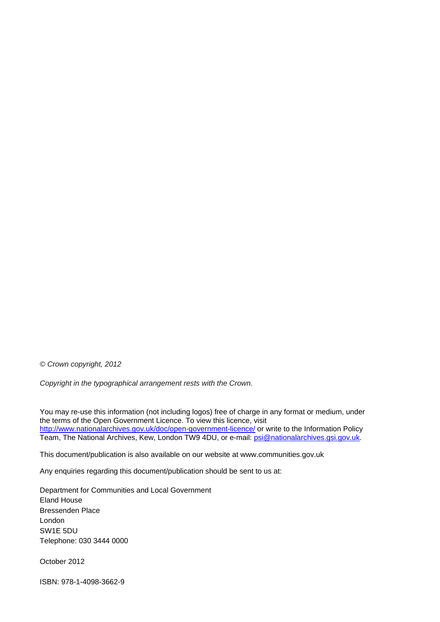*© Crown copyright, 2012* 

*Copyright in the typographical arrangement rests with the Crown.*

You may re-use this information (not including logos) free of charge in any format or medium, under the terms of the Open Government Licence. To view this licence, visit <http://www.nationalarchives.gov.uk/doc/open-government-licence/> or write to the Information Policy Team, The National Archives, Kew, London TW9 4DU, or e-mail: [psi@nationalarchives.gsi.gov.uk](mailto:psi@nationalarchives.gsi.gov.uk).

This document/publication is also available on our website at www.communities.gov.uk

Any enquiries regarding this document/publication should be sent to us at:

Department for Communities and Local Government Eland House Bressenden Place London SW1E 5DU Telephone: 030 3444 0000

October 2012

ISBN: 978-1-4098-3662-9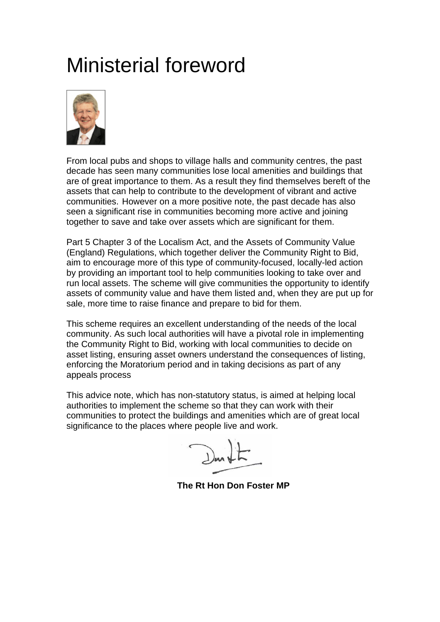### Ministerial foreword



From local pubs and shops to village halls and community centres, the past decade has seen many communities lose local amenities and buildings that are of great importance to them. As a result they find themselves bereft of the assets that can help to contribute to the development of vibrant and active communities. However on a more positive note, the past decade has also seen a significant rise in communities becoming more active and joining together to save and take over assets which are significant for them.

Part 5 Chapter 3 of the Localism Act, and the Assets of Community Value (England) Regulations, which together deliver the Community Right to Bid, aim to encourage more of this type of community-focused, locally-led action by providing an important tool to help communities looking to take over and run local assets. The scheme will give communities the opportunity to identify assets of community value and have them listed and, when they are put up for sale, more time to raise finance and prepare to bid for them.

This scheme requires an excellent understanding of the needs of the local community. As such local authorities will have a pivotal role in implementing the Community Right to Bid, working with local communities to decide on asset listing, ensuring asset owners understand the consequences of listing, enforcing the Moratorium period and in taking decisions as part of any appeals process

This advice note, which has non-statutory status, is aimed at helping local authorities to implement the scheme so that they can work with their communities to protect the buildings and amenities which are of great local significance to the places where people live and work.

 **The Rt Hon Don Foster MP**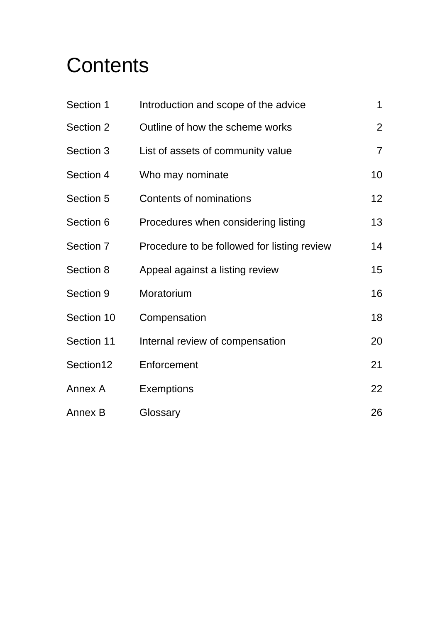## **Contents**

| Section 1  | Introduction and scope of the advice        | 1               |
|------------|---------------------------------------------|-----------------|
| Section 2  | Outline of how the scheme works             | $\overline{2}$  |
| Section 3  | List of assets of community value           | $\overline{7}$  |
| Section 4  | Who may nominate                            | 10              |
| Section 5  | Contents of nominations                     | 12 <sub>2</sub> |
| Section 6  | Procedures when considering listing         | 13              |
| Section 7  | Procedure to be followed for listing review | 14              |
| Section 8  | Appeal against a listing review             | 15              |
| Section 9  | Moratorium                                  | 16              |
| Section 10 | Compensation                                | 18              |
| Section 11 | Internal review of compensation             | 20              |
| Section12  | Enforcement                                 | 21              |
| Annex A    | <b>Exemptions</b>                           | 22              |
| Annex B    | Glossary                                    | 26              |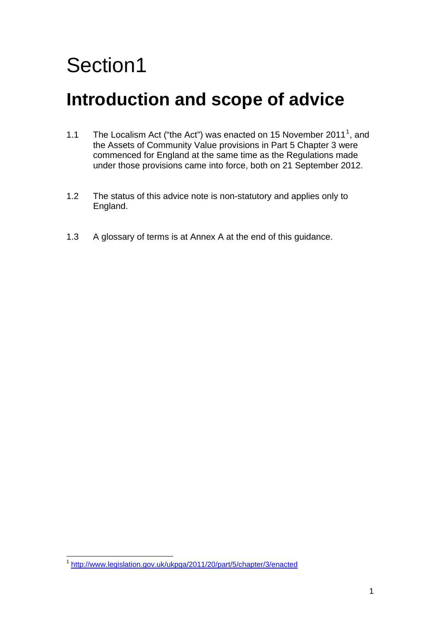### **Introduction and scope of advice**

- [1](#page-4-0).1 The Localism Act ("the Act") was enacted on 15 November 2011<sup>1</sup>, and the Assets of Community Value provisions in Part 5 Chapter 3 were commenced for England at the same time as the Regulations made under those provisions came into force, both on 21 September 2012.
- 1.2 The status of this advice note is non-statutory and applies only to England.
- 1.3 A glossary of terms is at Annex A at the end of this guidance.

<span id="page-4-0"></span> $\overline{a}$ <sup>1</sup> http://www.legislation.gov.uk/ukpga/2011/20/part/5/chapter/3/enacted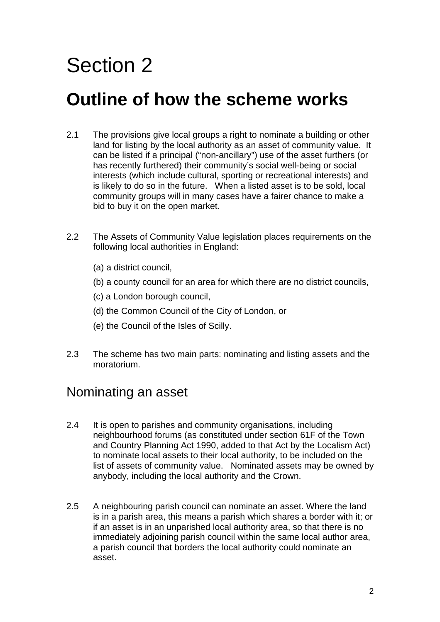### **Outline of how the scheme works**

- 2.1 The provisions give local groups a right to nominate a building or other land for listing by the local authority as an asset of community value. It can be listed if a principal ("non-ancillary") use of the asset furthers (or has recently furthered) their community's social well-being or social interests (which include cultural, sporting or recreational interests) and is likely to do so in the future. When a listed asset is to be sold, local community groups will in many cases have a fairer chance to make a bid to buy it on the open market.
- 2.2 The Assets of Community Value legislation places requirements on the following local authorities in England:
	- (a) a district council,
	- (b) a county council for an area for which there are no district councils,
	- (c) a London borough council,
	- (d) the Common Council of the City of London, or
	- (e) the Council of the Isles of Scilly.
- 2.3 The scheme has two main parts: nominating and listing assets and the moratorium.

#### Nominating an asset

- 2.4 It is open to parishes and community organisations, including neighbourhood forums (as constituted under section 61F of the Town and Country Planning Act 1990, added to that Act by the Localism Act) to nominate local assets to their local authority, to be included on the list of assets of community value. Nominated assets may be owned by anybody, including the local authority and the Crown.
- 2.5 A neighbouring parish council can nominate an asset. Where the land is in a parish area, this means a parish which shares a border with it; or if an asset is in an unparished local authority area, so that there is no immediately adjoining parish council within the same local author area, a parish council that borders the local authority could nominate an asset.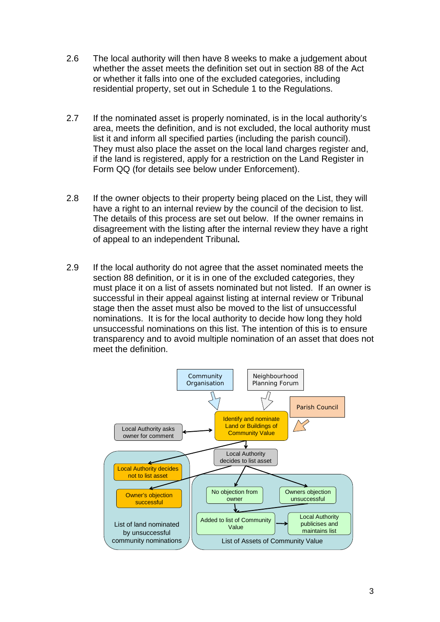- 2.6 The local authority will then have 8 weeks to make a judgement about whether the asset meets the definition set out in section 88 of the Act or whether it falls into one of the excluded categories, including residential property, set out in Schedule 1 to the Regulations.
- 2.7 If the nominated asset is properly nominated, is in the local authority's area, meets the definition, and is not excluded, the local authority must list it and inform all specified parties (including the parish council). They must also place the asset on the local land charges register and, if the land is registered, apply for a restriction on the Land Register in Form QQ (for details see below under Enforcement).
- 2.8 If the owner objects to their property being placed on the List, they will have a right to an internal review by the council of the decision to list. The details of this process are set out below. If the owner remains in disagreement with the listing after the internal review they have a right of appeal to an independent Tribunal**.**
- 2.9 If the local authority do not agree that the asset nominated meets the section 88 definition, or it is in one of the excluded categories, they must place it on a list of assets nominated but not listed. If an owner is successful in their appeal against listing at internal review or Tribunal stage then the asset must also be moved to the list of unsuccessful nominations. It is for the local authority to decide how long they hold unsuccessful nominations on this list. The intention of this is to ensure transparency and to avoid multiple nomination of an asset that does not meet the definition.

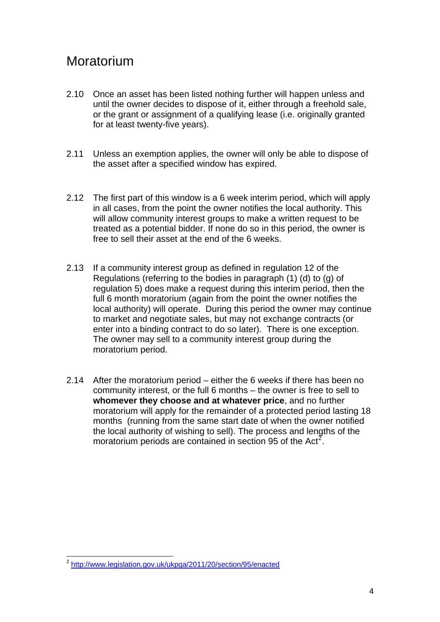#### Moratorium

- 2.10 Once an asset has been listed nothing further will happen unless and until the owner decides to dispose of it, either through a freehold sale, or the grant or assignment of a qualifying lease (i.e. originally granted for at least twenty-five years).
- 2.11 Unless an exemption applies, the owner will only be able to dispose of the asset after a specified window has expired.
- 2.12 The first part of this window is a 6 week interim period, which will apply in all cases, from the point the owner notifies the local authority. This will allow community interest groups to make a written request to be treated as a potential bidder. If none do so in this period, the owner is free to sell their asset at the end of the 6 weeks.
- 2.13 If a community interest group as defined in regulation 12 of the Regulations (referring to the bodies in paragraph (1) (d) to (g) of regulation 5) does make a request during this interim period, then the full 6 month moratorium (again from the point the owner notifies the local authority) will operate. During this period the owner may continue to market and negotiate sales, but may not exchange contracts (or enter into a binding contract to do so later). There is one exception. The owner may sell to a community interest group during the moratorium period.
- 2.14 After the moratorium period either the 6 weeks if there has been no community interest, or the full 6 months – the owner is free to sell to **whomever they choose and at whatever price**, and no further moratorium will apply for the remainder of a protected period lasting 18 months (running from the same start date of when the owner notified the local authority of wishing to sell). The process and lengths of the moratorium periods are contained in section 95 of the Act<sup>[2](#page-7-0)</sup>.

<span id="page-7-0"></span> $\overline{a}$ <sup>2</sup> <http://www.legislation.gov.uk/ukpga/2011/20/section/95/enacted>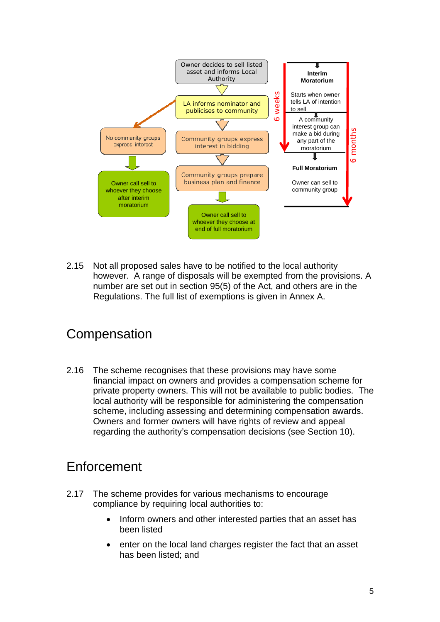

2.15 Not all proposed sales have to be notified to the local authority however. A range of disposals will be exempted from the provisions. A number are set out in section 95(5) of the Act, and others are in the Regulations. The full list of exemptions is given in Annex A.

#### **Compensation**

2.16 The scheme recognises that these provisions may have some financial impact on owners and provides a compensation scheme for private property owners. This will not be available to public bodies. The local authority will be responsible for administering the compensation scheme, including assessing and determining compensation awards. Owners and former owners will have rights of review and appeal regarding the authority's compensation decisions (see Section 10).

#### **Enforcement**

- 2.17 The scheme provides for various mechanisms to encourage compliance by requiring local authorities to:
	- Inform owners and other interested parties that an asset has been listed
	- enter on the local land charges register the fact that an asset has been listed; and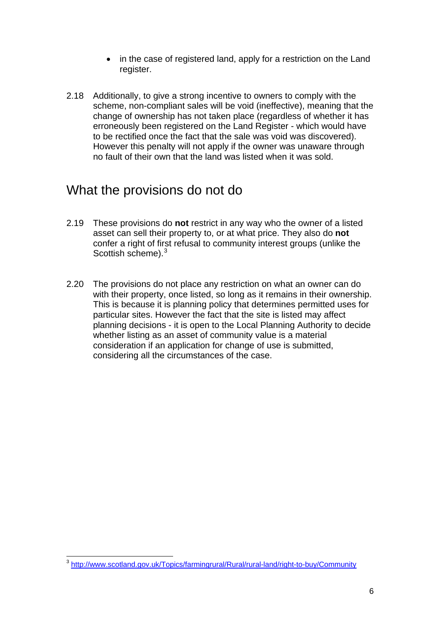- in the case of registered land, apply for a restriction on the Land register.
- 2.18 Additionally, to give a strong incentive to owners to comply with the scheme, non-compliant sales will be void (ineffective), meaning that the change of ownership has not taken place (regardless of whether it has erroneously been registered on the Land Register - which would have to be rectified once the fact that the sale was void was discovered). However this penalty will not apply if the owner was unaware through no fault of their own that the land was listed when it was sold.

#### What the provisions do not do

- 2.19 These provisions do **not** restrict in any way who the owner of a listed asset can sell their property to, or at what price. They also do **not**  confer a right of first refusal to community interest groups (unlike the Scottish scheme). $3$
- 2.20 The provisions do not place any restriction on what an owner can do with their property, once listed, so long as it remains in their ownership. This is because it is planning policy that determines permitted uses for particular sites. However the fact that the site is listed may affect planning decisions - it is open to the Local Planning Authority to decide whether listing as an asset of community value is a material consideration if an application for change of use is submitted, considering all the circumstances of the case.

<span id="page-9-0"></span> $\overline{a}$ <sup>3</sup> <http://www.scotland.gov.uk/Topics/farmingrural/Rural/rural-land/right-to-buy/Community>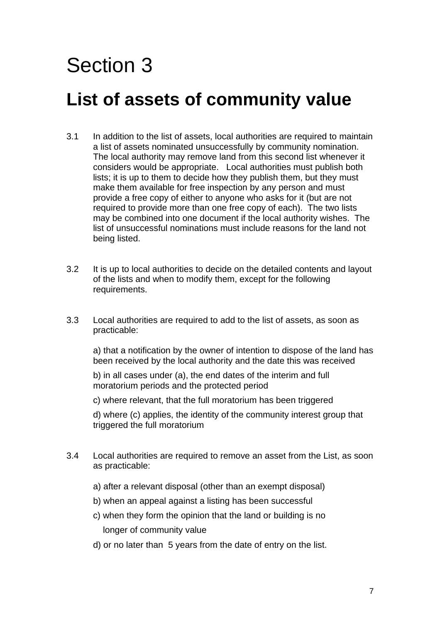### **List of assets of community value**

- 3.1 In addition to the list of assets, local authorities are required to maintain a list of assets nominated unsuccessfully by community nomination. The local authority may remove land from this second list whenever it considers would be appropriate. Local authorities must publish both lists; it is up to them to decide how they publish them, but they must make them available for free inspection by any person and must provide a free copy of either to anyone who asks for it (but are not required to provide more than one free copy of each). The two lists may be combined into one document if the local authority wishes. The list of unsuccessful nominations must include reasons for the land not being listed.
- 3.2 It is up to local authorities to decide on the detailed contents and layout of the lists and when to modify them, except for the following requirements.
- 3.3 Local authorities are required to add to the list of assets, as soon as practicable:

a) that a notification by the owner of intention to dispose of the land has been received by the local authority and the date this was received

b) in all cases under (a), the end dates of the interim and full moratorium periods and the protected period

c) where relevant, that the full moratorium has been triggered

d) where (c) applies, the identity of the community interest group that triggered the full moratorium

- 3.4 Local authorities are required to remove an asset from the List, as soon as practicable:
	- a) after a relevant disposal (other than an exempt disposal)
	- b) when an appeal against a listing has been successful
	- c) when they form the opinion that the land or building is no longer of community value
	- d) or no later than 5 years from the date of entry on the list.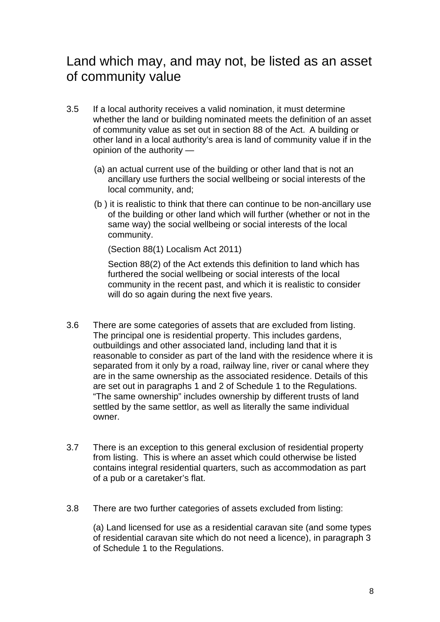#### Land which may, and may not, be listed as an asset of community value

- 3.5 If a local authority receives a valid nomination, it must determine whether the land or building nominated meets the definition of an asset of community value as set out in section 88 of the Act. A building or other land in a local authority's area is land of community value if in the opinion of the authority —
	- (a) an actual current use of the building or other land that is not an ancillary use furthers the social wellbeing or social interests of the local community, and;
	- (b ) it is realistic to think that there can continue to be non-ancillary use of the building or other land which will further (whether or not in the same way) the social wellbeing or social interests of the local community.

(Section 88(1) Localism Act 2011)

 Section 88(2) of the Act extends this definition to land which has furthered the social wellbeing or social interests of the local community in the recent past, and which it is realistic to consider will do so again during the next five years.

- 3.6 There are some categories of assets that are excluded from listing. The principal one is residential property. This includes gardens, outbuildings and other associated land, including land that it is reasonable to consider as part of the land with the residence where it is separated from it only by a road, railway line, river or canal where they are in the same ownership as the associated residence. Details of this are set out in paragraphs 1 and 2 of Schedule 1 to the Regulations. "The same ownership" includes ownership by different trusts of land settled by the same settlor, as well as literally the same individual owner.
- 3.7 There is an exception to this general exclusion of residential property from listing. This is where an asset which could otherwise be listed contains integral residential quarters, such as accommodation as part of a pub or a caretaker's flat.
- 3.8 There are two further categories of assets excluded from listing:

(a) Land licensed for use as a residential caravan site (and some types of residential caravan site which do not need a licence), in paragraph 3 of Schedule 1 to the Regulations.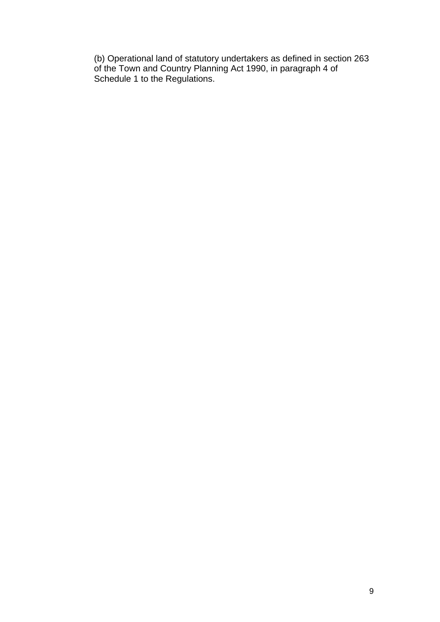(b) Operational land of statutory undertakers as defined in section 263 of the Town and Country Planning Act 1990, in paragraph 4 of Schedule 1 to the Regulations.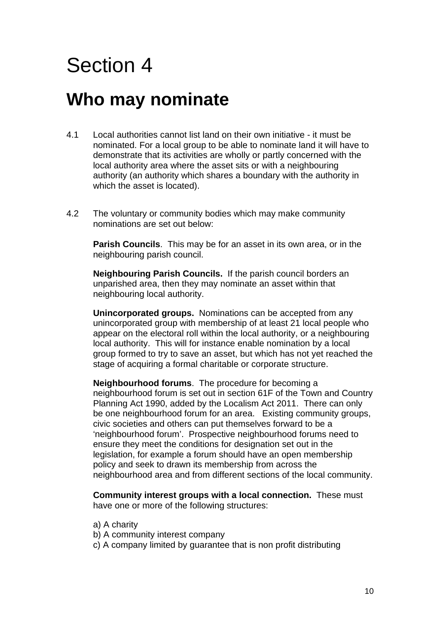#### **Who may nominate**

- 4.1 Local authorities cannot list land on their own initiative it must be nominated. For a local group to be able to nominate land it will have to demonstrate that its activities are wholly or partly concerned with the local authority area where the asset sits or with a neighbouring authority (an authority which shares a boundary with the authority in which the asset is located).
- 4.2 The voluntary or community bodies which may make community nominations are set out below:

**Parish Councils**. This may be for an asset in its own area, or in the neighbouring parish council.

**Neighbouring Parish Councils.** If the parish council borders an unparished area, then they may nominate an asset within that neighbouring local authority.

**Unincorporated groups.** Nominations can be accepted from any unincorporated group with membership of at least 21 local people who appear on the electoral roll within the local authority, or a neighbouring local authority. This will for instance enable nomination by a local group formed to try to save an asset, but which has not yet reached the stage of acquiring a formal charitable or corporate structure.

**Neighbourhood forums**. The procedure for becoming a neighbourhood forum is set out in section 61F of the Town and Country Planning Act 1990, added by the Localism Act 2011. There can only be one neighbourhood forum for an area. Existing community groups, civic societies and others can put themselves forward to be a 'neighbourhood forum'. Prospective neighbourhood forums need to ensure they meet the conditions for designation set out in the legislation, for example a forum should have an open membership policy and seek to drawn its membership from across the neighbourhood area and from different sections of the local community.

**Community interest groups with a local connection.** These must have one or more of the following structures:

- a) A charity
- b) A community interest company
- c) A company limited by guarantee that is non profit distributing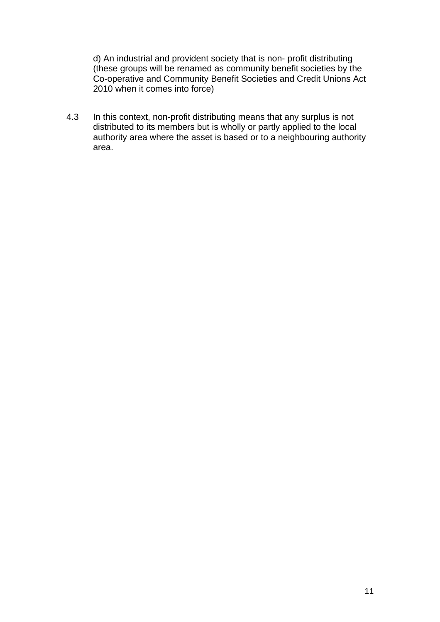d) An industrial and provident society that is non- profit distributing (these groups will be renamed as community benefit societies by the Co-operative and Community Benefit Societies and Credit Unions Act 2010 when it comes into force)

4.3 In this context, non-profit distributing means that any surplus is not distributed to its members but is wholly or partly applied to the local authority area where the asset is based or to a neighbouring authority area.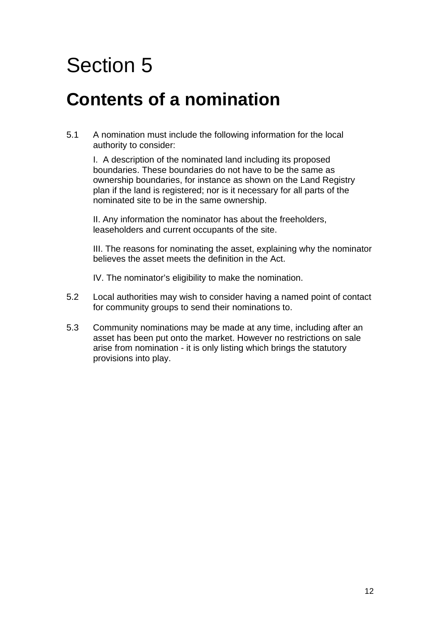#### **Contents of a nomination**

5.1 A nomination must include the following information for the local authority to consider:

I. A description of the nominated land including its proposed boundaries. These boundaries do not have to be the same as ownership boundaries, for instance as shown on the Land Registry plan if the land is registered; nor is it necessary for all parts of the nominated site to be in the same ownership.

II. Any information the nominator has about the freeholders, leaseholders and current occupants of the site.

III. The reasons for nominating the asset, explaining why the nominator believes the asset meets the definition in the Act.

IV. The nominator's eligibility to make the nomination.

- 5.2 Local authorities may wish to consider having a named point of contact for community groups to send their nominations to.
- 5.3 Community nominations may be made at any time, including after an asset has been put onto the market. However no restrictions on sale arise from nomination - it is only listing which brings the statutory provisions into play.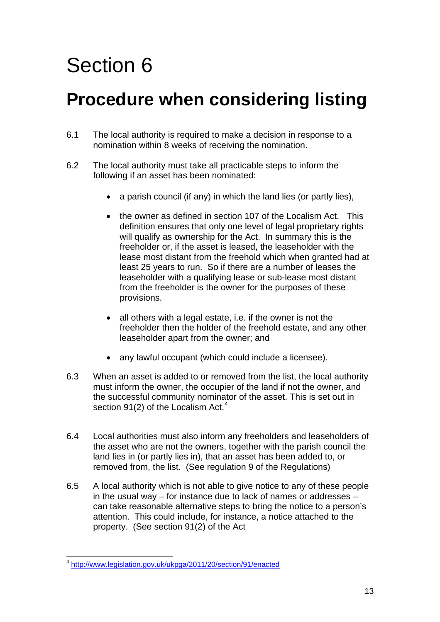### **Procedure when considering listing**

- 6.1 The local authority is required to make a decision in response to a nomination within 8 weeks of receiving the nomination.
- 6.2 The local authority must take all practicable steps to inform the following if an asset has been nominated:
	- a parish council (if any) in which the land lies (or partly lies),
	- the owner as defined in section 107 of the Localism Act. This definition ensures that only one level of legal proprietary rights will qualify as ownership for the Act. In summary this is the freeholder or, if the asset is leased, the leaseholder with the lease most distant from the freehold which when granted had at least 25 years to run. So if there are a number of leases the leaseholder with a qualifying lease or sub-lease most distant from the freeholder is the owner for the purposes of these provisions.
	- all others with a legal estate, i.e. if the owner is not the freeholder then the holder of the freehold estate, and any other leaseholder apart from the owner; and
	- any lawful occupant (which could include a licensee).
- 6.3 When an asset is added to or removed from the list, the local authority must inform the owner, the occupier of the land if not the owner, and the successful community nominator of the asset. This is set out in section 91(2) of the Localism Act. $4$
- 6.4 Local authorities must also inform any freeholders and leaseholders of the asset who are not the owners, together with the parish council the land lies in (or partly lies in), that an asset has been added to, or removed from, the list. (See regulation 9 of the Regulations)
- 6.5 A local authority which is not able to give notice to any of these people in the usual way – for instance due to lack of names or addresses – can take reasonable alternative steps to bring the notice to a person's attention. This could include, for instance, a notice attached to the property. (See section 91(2) of the Act

<span id="page-16-0"></span> $\overline{a}$ <sup>4</sup> <http://www.legislation.gov.uk/ukpga/2011/20/section/91/enacted>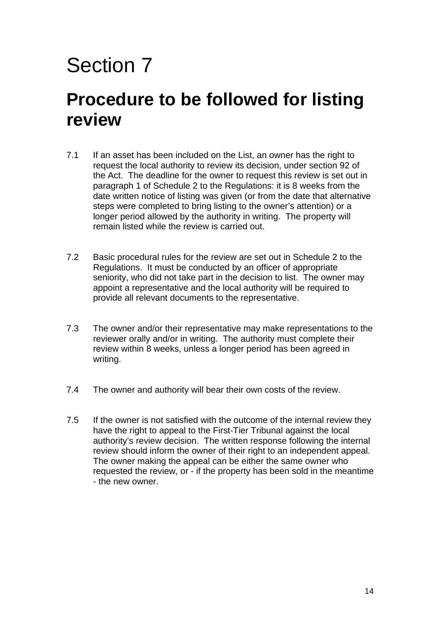#### **Procedure to be followed for listing review**

- 7.1 If an asset has been included on the List, an owner has the right to request the local authority to review its decision, under section 92 of the Act. The deadline for the owner to request this review is set out in paragraph 1 of Schedule 2 to the Regulations: it is 8 weeks from the date written notice of listing was given (or from the date that alternative steps were completed to bring listing to the owner's attention) or a longer period allowed by the authority in writing. The property will remain listed while the review is carried out.
- 7.2 Basic procedural rules for the review are set out in Schedule 2 to the Regulations. It must be conducted by an officer of appropriate seniority, who did not take part in the decision to list. The owner may appoint a representative and the local authority will be required to provide all relevant documents to the representative.
- 7.3 The owner and/or their representative may make representations to the reviewer orally and/or in writing. The authority must complete their review within 8 weeks, unless a longer period has been agreed in writing.
- 7.4 The owner and authority will bear their own costs of the review.
- 7.5 If the owner is not satisfied with the outcome of the internal review they have the right to appeal to the First-Tier Tribunal against the local authority's review decision. The written response following the internal review should inform the owner of their right to an independent appeal. The owner making the appeal can be either the same owner who requested the review, or - if the property has been sold in the meantime - the new owner.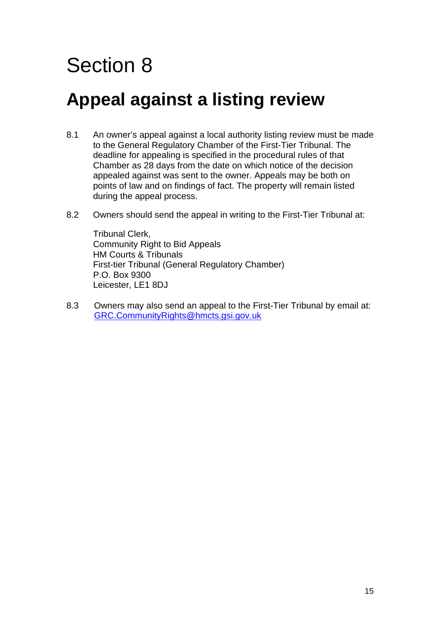### **Appeal against a listing review**

- 8.1 An owner's appeal against a local authority listing review must be made to the General Regulatory Chamber of the First-Tier Tribunal. The deadline for appealing is specified in the procedural rules of that Chamber as 28 days from the date on which notice of the decision appealed against was sent to the owner. Appeals may be both on points of law and on findings of fact. The property will remain listed during the appeal process.
- 8.2 Owners should send the appeal in writing to the First-Tier Tribunal at:

Tribunal Clerk, Community Right to Bid Appeals HM Courts & Tribunals First-tier Tribunal (General Regulatory Chamber) P.O. Box 9300 Leicester, LE1 8DJ

8.3 Owners may also send an appeal to the First-Tier Tribunal by email at: [GRC.CommunityRights@hmcts.gsi.gov.uk](mailto:GRC.CommunityRights@hmcts.gsi.gov.uk)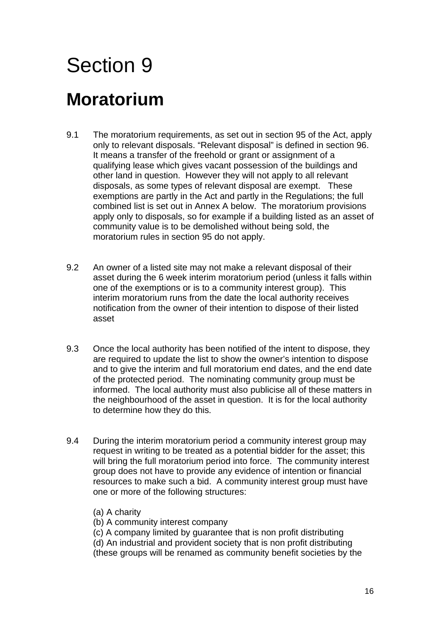### **Moratorium**

- 9.1 The moratorium requirements, as set out in section 95 of the Act, apply only to relevant disposals. "Relevant disposal" is defined in section 96. It means a transfer of the freehold or grant or assignment of a qualifying lease which gives vacant possession of the buildings and other land in question. However they will not apply to all relevant disposals, as some types of relevant disposal are exempt. These exemptions are partly in the Act and partly in the Regulations; the full combined list is set out in Annex A below. The moratorium provisions apply only to disposals, so for example if a building listed as an asset of community value is to be demolished without being sold, the moratorium rules in section 95 do not apply.
- 9.2 An owner of a listed site may not make a relevant disposal of their asset during the 6 week interim moratorium period (unless it falls within one of the exemptions or is to a community interest group). This interim moratorium runs from the date the local authority receives notification from the owner of their intention to dispose of their listed asset
- 9.3 Once the local authority has been notified of the intent to dispose, they are required to update the list to show the owner's intention to dispose and to give the interim and full moratorium end dates, and the end date of the protected period. The nominating community group must be informed. The local authority must also publicise all of these matters in the neighbourhood of the asset in question. It is for the local authority to determine how they do this.
- 9.4 During the interim moratorium period a community interest group may request in writing to be treated as a potential bidder for the asset; this will bring the full moratorium period into force. The community interest group does not have to provide any evidence of intention or financial resources to make such a bid. A community interest group must have one or more of the following structures:
	- (a) A charity

(b) A community interest company

(c) A company limited by guarantee that is non profit distributing

(d) An industrial and provident society that is non profit distributing

(these groups will be renamed as community benefit societies by the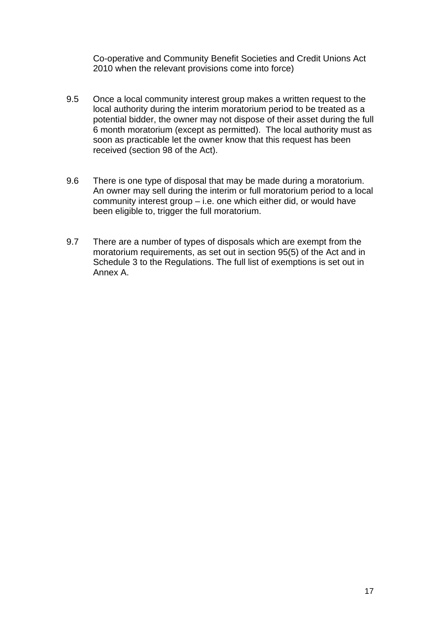Co-operative and Community Benefit Societies and Credit Unions Act 2010 when the relevant provisions come into force)

- 9.5 Once a local community interest group makes a written request to the local authority during the interim moratorium period to be treated as a potential bidder, the owner may not dispose of their asset during the full 6 month moratorium (except as permitted). The local authority must as soon as practicable let the owner know that this request has been received (section 98 of the Act).
- 9.6 There is one type of disposal that may be made during a moratorium. An owner may sell during the interim or full moratorium period to a local community interest group – i.e. one which either did, or would have been eligible to, trigger the full moratorium.
- 9.7 There are a number of types of disposals which are exempt from the moratorium requirements, as set out in section 95(5) of the Act and in Schedule 3 to the Regulations. The full list of exemptions is set out in Annex A.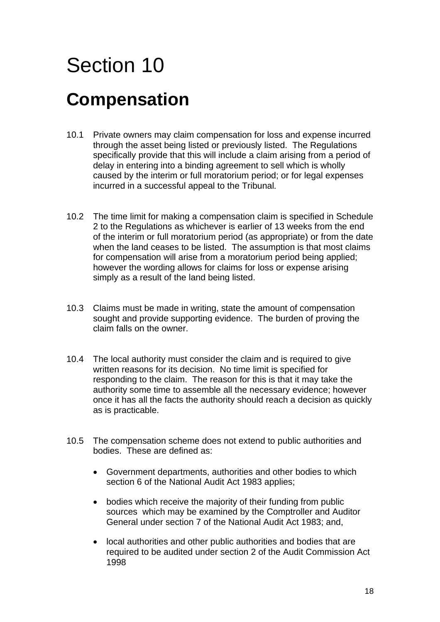# Section 10 **Compensation**

- 10.1 Private owners may claim compensation for loss and expense incurred through the asset being listed or previously listed. The Regulations specifically provide that this will include a claim arising from a period of delay in entering into a binding agreement to sell which is wholly caused by the interim or full moratorium period; or for legal expenses incurred in a successful appeal to the Tribunal.
- 10.2 The time limit for making a compensation claim is specified in Schedule 2 to the Regulations as whichever is earlier of 13 weeks from the end of the interim or full moratorium period (as appropriate) or from the date when the land ceases to be listed. The assumption is that most claims for compensation will arise from a moratorium period being applied; however the wording allows for claims for loss or expense arising simply as a result of the land being listed.
- 10.3 Claims must be made in writing, state the amount of compensation sought and provide supporting evidence. The burden of proving the claim falls on the owner.
- 10.4 The local authority must consider the claim and is required to give written reasons for its decision. No time limit is specified for responding to the claim. The reason for this is that it may take the authority some time to assemble all the necessary evidence; however once it has all the facts the authority should reach a decision as quickly as is practicable.
- 10.5 The compensation scheme does not extend to public authorities and bodies. These are defined as:
	- Government departments, authorities and other bodies to which section 6 of the National Audit Act 1983 applies;
	- bodies which receive the majority of their funding from public sources which may be examined by the Comptroller and Auditor General under section 7 of the National Audit Act 1983; and,
	- local authorities and other public authorities and bodies that are required to be audited under section 2 of the Audit Commission Act 1998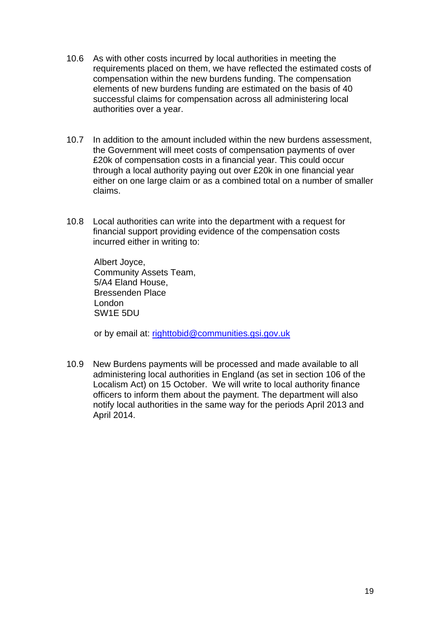- 10.6 As with other costs incurred by local authorities in meeting the requirements placed on them, we have reflected the estimated costs of compensation within the new burdens funding. The compensation elements of new burdens funding are estimated on the basis of 40 successful claims for compensation across all administering local authorities over a year.
- 10.7 In addition to the amount included within the new burdens assessment, the Government will meet costs of compensation payments of over £20k of compensation costs in a financial year. This could occur through a local authority paying out over £20k in one financial year either on one large claim or as a combined total on a number of smaller claims.
- 10.8 Local authorities can write into the department with a request for financial support providing evidence of the compensation costs incurred either in writing to:

Albert Joyce, Community Assets Team, 5/A4 Eland House, Bressenden Place London SW1E 5DU

or by email at: [righttobid@communities.gsi.gov.uk](mailto:righttobid@communities.gsi.gov.uk)

10.9 New Burdens payments will be processed and made available to all administering local authorities in England (as set in section 106 of the Localism Act) on 15 October. We will write to local authority finance officers to inform them about the payment. The department will also notify local authorities in the same way for the periods April 2013 and April 2014.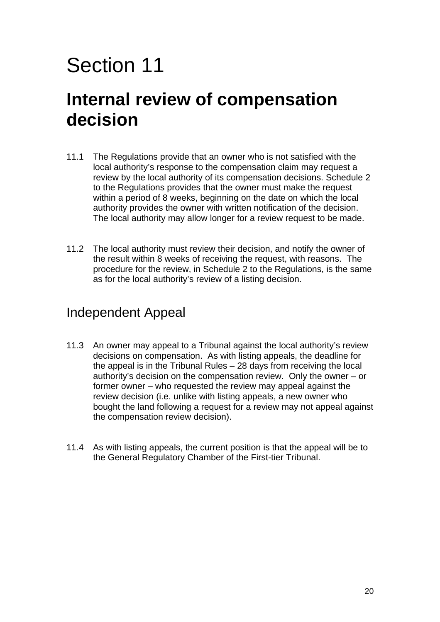#### **Internal review of compensation decision**

- 11.1 The Regulations provide that an owner who is not satisfied with the local authority's response to the compensation claim may request a review by the local authority of its compensation decisions. Schedule 2 to the Regulations provides that the owner must make the request within a period of 8 weeks, beginning on the date on which the local authority provides the owner with written notification of the decision. The local authority may allow longer for a review request to be made.
- 11.2 The local authority must review their decision, and notify the owner of the result within 8 weeks of receiving the request, with reasons. The procedure for the review, in Schedule 2 to the Regulations, is the same as for the local authority's review of a listing decision.

#### Independent Appeal

- 11.3 An owner may appeal to a Tribunal against the local authority's review decisions on compensation. As with listing appeals, the deadline for the appeal is in the Tribunal Rules – 28 days from receiving the local authority's decision on the compensation review. Only the owner – or former owner – who requested the review may appeal against the review decision (i.e. unlike with listing appeals, a new owner who bought the land following a request for a review may not appeal against the compensation review decision).
- 11.4 As with listing appeals, the current position is that the appeal will be to the General Regulatory Chamber of the First-tier Tribunal.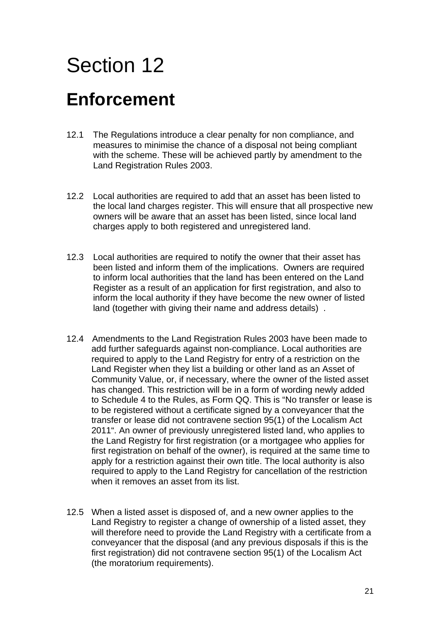### **Enforcement**

- 12.1 The Regulations introduce a clear penalty for non compliance, and measures to minimise the chance of a disposal not being compliant with the scheme. These will be achieved partly by amendment to the Land Registration Rules 2003.
- 12.2 Local authorities are required to add that an asset has been listed to the local land charges register. This will ensure that all prospective new owners will be aware that an asset has been listed, since local land charges apply to both registered and unregistered land.
- 12.3 Local authorities are required to notify the owner that their asset has been listed and inform them of the implications. Owners are required to inform local authorities that the land has been entered on the Land Register as a result of an application for first registration, and also to inform the local authority if they have become the new owner of listed land (together with giving their name and address details) .
- 12.4 Amendments to the Land Registration Rules 2003 have been made to add further safeguards against non-compliance. Local authorities are required to apply to the Land Registry for entry of a restriction on the Land Register when they list a building or other land as an Asset of Community Value, or, if necessary, where the owner of the listed asset has changed. This restriction will be in a form of wording newly added to Schedule 4 to the Rules, as Form QQ. This is "No transfer or lease is to be registered without a certificate signed by a conveyancer that the transfer or lease did not contravene section 95(1) of the Localism Act 2011". An owner of previously unregistered listed land, who applies to the Land Registry for first registration (or a mortgagee who applies for first registration on behalf of the owner), is required at the same time to apply for a restriction against their own title. The local authority is also required to apply to the Land Registry for cancellation of the restriction when it removes an asset from its list.
- 12.5 When a listed asset is disposed of, and a new owner applies to the Land Registry to register a change of ownership of a listed asset, they will therefore need to provide the Land Registry with a certificate from a conveyancer that the disposal (and any previous disposals if this is the first registration) did not contravene section 95(1) of the Localism Act (the moratorium requirements).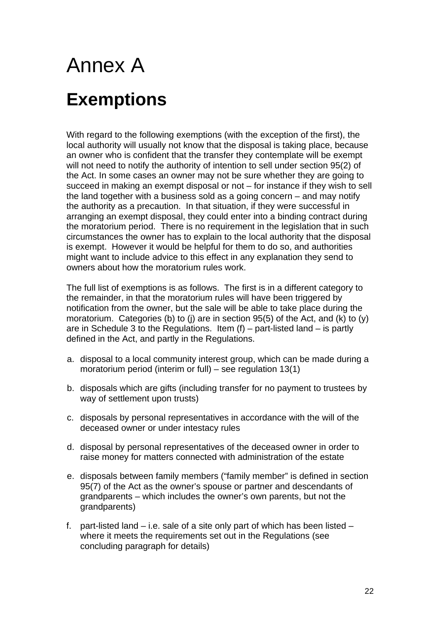# Annex A **Exemptions**

With regard to the following exemptions (with the exception of the first), the local authority will usually not know that the disposal is taking place, because an owner who is confident that the transfer they contemplate will be exempt will not need to notify the authority of intention to sell under section 95(2) of the Act. In some cases an owner may not be sure whether they are going to succeed in making an exempt disposal or not – for instance if they wish to sell the land together with a business sold as a going concern – and may notify the authority as a precaution. In that situation, if they were successful in arranging an exempt disposal, they could enter into a binding contract during the moratorium period. There is no requirement in the legislation that in such circumstances the owner has to explain to the local authority that the disposal is exempt. However it would be helpful for them to do so, and authorities might want to include advice to this effect in any explanation they send to owners about how the moratorium rules work.

The full list of exemptions is as follows. The first is in a different category to the remainder, in that the moratorium rules will have been triggered by notification from the owner, but the sale will be able to take place during the moratorium. Categories (b) to (j) are in section 95(5) of the Act, and (k) to (y) are in Schedule 3 to the Regulations. Item  $(f)$  – part-listed land – is partly defined in the Act, and partly in the Regulations.

- a. disposal to a local community interest group, which can be made during a moratorium period (interim or full) – see regulation 13(1)
- b. disposals which are gifts (including transfer for no payment to trustees by way of settlement upon trusts)
- c. disposals by personal representatives in accordance with the will of the deceased owner or under intestacy rules
- d. disposal by personal representatives of the deceased owner in order to raise money for matters connected with administration of the estate
- e. disposals between family members ("family member" is defined in section 95(7) of the Act as the owner's spouse or partner and descendants of grandparents – which includes the owner's own parents, but not the grandparents)
- f. part-listed land i.e. sale of a site only part of which has been listed where it meets the requirements set out in the Regulations (see concluding paragraph for details)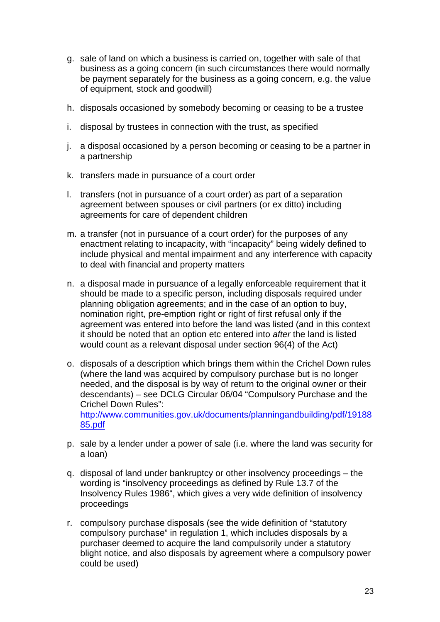- g. sale of land on which a business is carried on, together with sale of that business as a going concern (in such circumstances there would normally be payment separately for the business as a going concern, e.g. the value of equipment, stock and goodwill)
- h. disposals occasioned by somebody becoming or ceasing to be a trustee
- i. disposal by trustees in connection with the trust, as specified
- j. a disposal occasioned by a person becoming or ceasing to be a partner in a partnership
- k. transfers made in pursuance of a court order
- l. transfers (not in pursuance of a court order) as part of a separation agreement between spouses or civil partners (or ex ditto) including agreements for care of dependent children
- m. a transfer (not in pursuance of a court order) for the purposes of any enactment relating to incapacity, with "incapacity" being widely defined to include physical and mental impairment and any interference with capacity to deal with financial and property matters
- n. a disposal made in pursuance of a legally enforceable requirement that it should be made to a specific person, including disposals required under planning obligation agreements; and in the case of an option to buy, nomination right, pre-emption right or right of first refusal only if the agreement was entered into before the land was listed (and in this context it should be noted that an option etc entered into *after* the land is listed would count as a relevant disposal under section 96(4) of the Act)
- o. disposals of a description which brings them within the Crichel Down rules (where the land was acquired by compulsory purchase but is no longer needed, and the disposal is by way of return to the original owner or their descendants) – see DCLG Circular 06/04 "Compulsory Purchase and the Crichel Down Rules": [http://www.communities.gov.uk/documents/planningandbuilding/pdf/19188](http://www.communities.gov.uk/documents/planningandbuilding/pdf/1918885.pdf) [85.pdf](http://www.communities.gov.uk/documents/planningandbuilding/pdf/1918885.pdf)
- p. sale by a lender under a power of sale (i.e. where the land was security for a loan)
- q. disposal of land under bankruptcy or other insolvency proceedings the wording is "insolvency proceedings as defined by Rule 13.7 of the Insolvency Rules 1986", which gives a very wide definition of insolvency proceedings
- r. compulsory purchase disposals (see the wide definition of "statutory compulsory purchase" in regulation 1, which includes disposals by a purchaser deemed to acquire the land compulsorily under a statutory blight notice, and also disposals by agreement where a compulsory power could be used)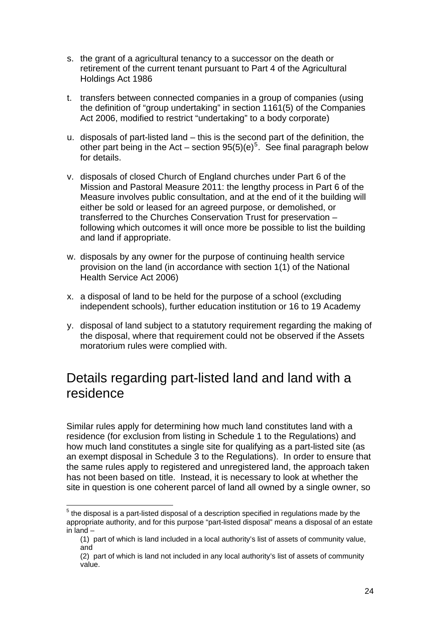- s. the grant of a agricultural tenancy to a successor on the death or retirement of the current tenant pursuant to Part 4 of the Agricultural Holdings Act 1986
- t. transfers between connected companies in a group of companies (using the definition of "group undertaking" in section 1161(5) of the Companies Act 2006, modified to restrict "undertaking" to a body corporate)
- u. disposals of part-listed land this is the second part of the definition, the other part being in the Act – section  $95(5)(e)^5$  $95(5)(e)^5$  $95(5)(e)^5$ . See final paragraph below for details.
- v. disposals of closed Church of England churches under Part 6 of the Mission and Pastoral Measure 2011: the lengthy process in Part 6 of the Measure involves public consultation, and at the end of it the building will either be sold or leased for an agreed purpose, or demolished, or transferred to the Churches Conservation Trust for preservation – following which outcomes it will once more be possible to list the building and land if appropriate.
- w. disposals by any owner for the purpose of continuing health service provision on the land (in accordance with section 1(1) of the National Health Service Act 2006)
- x. a disposal of land to be held for the purpose of a school (excluding independent schools), further education institution or 16 to 19 Academy
- y. disposal of land subject to a statutory requirement regarding the making of the disposal, where that requirement could not be observed if the Assets moratorium rules were complied with.

#### Details regarding part-listed land and land with a residence

Similar rules apply for determining how much land constitutes land with a residence (for exclusion from listing in Schedule 1 to the Regulations) and how much land constitutes a single site for qualifying as a part-listed site (as an exempt disposal in Schedule 3 to the Regulations). In order to ensure that the same rules apply to registered and unregistered land, the approach taken has not been based on title. Instead, it is necessary to look at whether the site in question is one coherent parcel of land all owned by a single owner, so

 $\overline{a}$ 

<span id="page-27-0"></span> $<sup>5</sup>$  the disposal is a part-listed disposal of a description specified in regulations made by the</sup> appropriate authority, and for this purpose "part-listed disposal" means a disposal of an estate in land –

<sup>(1)</sup> part of which is land included in a local authority's list of assets of community value, and

<sup>(2)</sup> part of which is land not included in any local authority's list of assets of community value.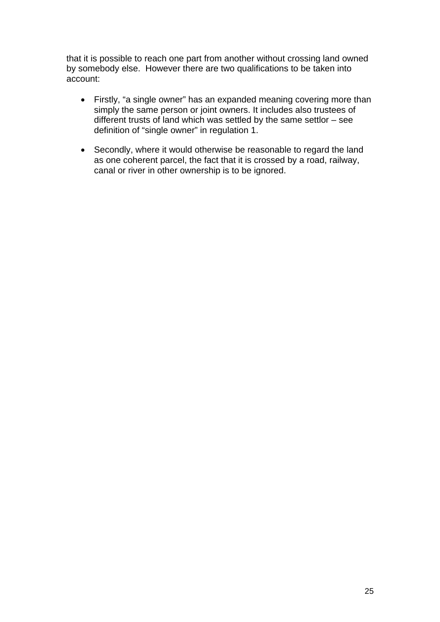that it is possible to reach one part from another without crossing land owned by somebody else. However there are two qualifications to be taken into account:

- Firstly, "a single owner" has an expanded meaning covering more than simply the same person or joint owners. It includes also trustees of different trusts of land which was settled by the same settlor – see definition of "single owner" in regulation 1.
- Secondly, where it would otherwise be reasonable to regard the land as one coherent parcel, the fact that it is crossed by a road, railway, canal or river in other ownership is to be ignored.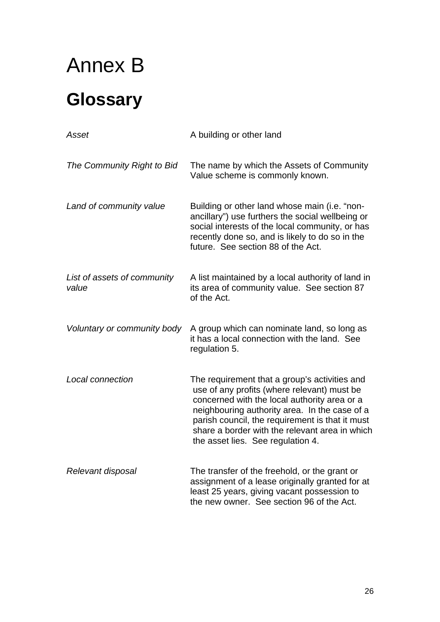# Annex B **Glossary**

| Asset                                | A building or other land                                                                                                                                                                                                                                                                                                                |
|--------------------------------------|-----------------------------------------------------------------------------------------------------------------------------------------------------------------------------------------------------------------------------------------------------------------------------------------------------------------------------------------|
| The Community Right to Bid           | The name by which the Assets of Community<br>Value scheme is commonly known.                                                                                                                                                                                                                                                            |
| Land of community value              | Building or other land whose main (i.e. "non-<br>ancillary") use furthers the social wellbeing or<br>social interests of the local community, or has<br>recently done so, and is likely to do so in the<br>future. See section 88 of the Act.                                                                                           |
| List of assets of community<br>value | A list maintained by a local authority of land in<br>its area of community value. See section 87<br>of the Act.                                                                                                                                                                                                                         |
| Voluntary or community body          | A group which can nominate land, so long as<br>it has a local connection with the land. See<br>regulation 5.                                                                                                                                                                                                                            |
| Local connection                     | The requirement that a group's activities and<br>use of any profits (where relevant) must be<br>concerned with the local authority area or a<br>neighbouring authority area. In the case of a<br>parish council, the requirement is that it must<br>share a border with the relevant area in which<br>the asset lies. See regulation 4. |
| Relevant disposal                    | The transfer of the freehold, or the grant or<br>assignment of a lease originally granted for at<br>least 25 years, giving vacant possession to<br>the new owner. See section 96 of the Act.                                                                                                                                            |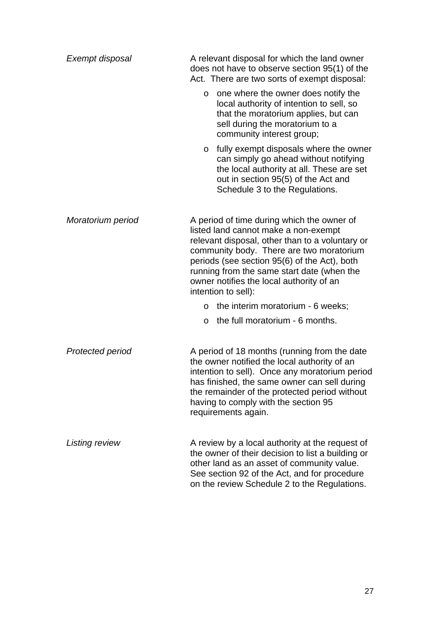| Exempt disposal   | A relevant disposal for which the land owner<br>does not have to observe section 95(1) of the<br>Act. There are two sorts of exempt disposal:                                                                                                                                                                                                      |
|-------------------|----------------------------------------------------------------------------------------------------------------------------------------------------------------------------------------------------------------------------------------------------------------------------------------------------------------------------------------------------|
|                   | one where the owner does notify the<br>$\circ$<br>local authority of intention to sell, so<br>that the moratorium applies, but can<br>sell during the moratorium to a<br>community interest group;                                                                                                                                                 |
|                   | fully exempt disposals where the owner<br>O<br>can simply go ahead without notifying<br>the local authority at all. These are set<br>out in section 95(5) of the Act and<br>Schedule 3 to the Regulations.                                                                                                                                         |
| Moratorium period | A period of time during which the owner of<br>listed land cannot make a non-exempt<br>relevant disposal, other than to a voluntary or<br>community body. There are two moratorium<br>periods (see section 95(6) of the Act), both<br>running from the same start date (when the<br>owner notifies the local authority of an<br>intention to sell): |
|                   | the interim moratorium - 6 weeks;<br>$\circ$                                                                                                                                                                                                                                                                                                       |
|                   | the full moratorium - 6 months.<br>$\circ$                                                                                                                                                                                                                                                                                                         |
| Protected period  | A period of 18 months (running from the date<br>the owner notified the local authority of an<br>intention to sell). Once any moratorium period<br>has finished, the same owner can sell during<br>the remainder of the protected period without<br>having to comply with the section 95<br>requirements again.                                     |
| Listing review    | A review by a local authority at the request of<br>the owner of their decision to list a building or<br>other land as an asset of community value.<br>See section 92 of the Act, and for procedure<br>on the review Schedule 2 to the Regulations.                                                                                                 |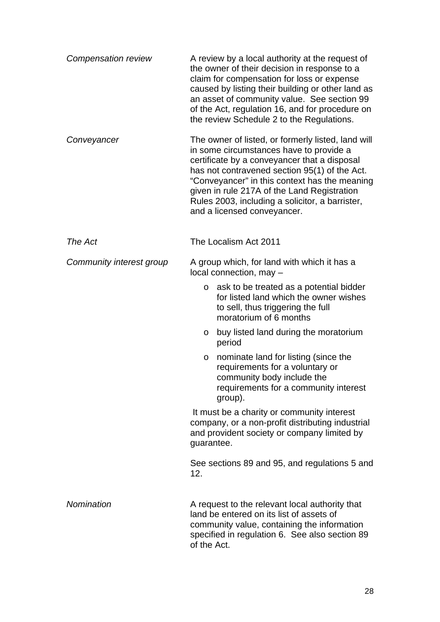| Compensation review      | A review by a local authority at the request of<br>the owner of their decision in response to a<br>claim for compensation for loss or expense<br>caused by listing their building or other land as<br>an asset of community value. See section 99<br>of the Act, regulation 16, and for procedure on<br>the review Schedule 2 to the Regulations.                                |
|--------------------------|----------------------------------------------------------------------------------------------------------------------------------------------------------------------------------------------------------------------------------------------------------------------------------------------------------------------------------------------------------------------------------|
| Conveyancer              | The owner of listed, or formerly listed, land will<br>in some circumstances have to provide a<br>certificate by a conveyancer that a disposal<br>has not contravened section 95(1) of the Act.<br>"Conveyancer" in this context has the meaning<br>given in rule 217A of the Land Registration<br>Rules 2003, including a solicitor, a barrister,<br>and a licensed conveyancer. |
| The Act                  | The Localism Act 2011                                                                                                                                                                                                                                                                                                                                                            |
| Community interest group | A group which, for land with which it has a<br>local connection, may -                                                                                                                                                                                                                                                                                                           |
|                          | ask to be treated as a potential bidder<br>$\circ$<br>for listed land which the owner wishes<br>to sell, thus triggering the full<br>moratorium of 6 months                                                                                                                                                                                                                      |
|                          | buy listed land during the moratorium<br>O<br>period                                                                                                                                                                                                                                                                                                                             |
|                          | nominate land for listing (since the<br>O<br>requirements for a voluntary or<br>community body include the<br>requirements for a community interest<br>group).                                                                                                                                                                                                                   |
|                          | It must be a charity or community interest<br>company, or a non-profit distributing industrial<br>and provident society or company limited by<br>guarantee.                                                                                                                                                                                                                      |
|                          | See sections 89 and 95, and regulations 5 and<br>12.                                                                                                                                                                                                                                                                                                                             |
| Nomination               | A request to the relevant local authority that<br>land be entered on its list of assets of<br>community value, containing the information<br>specified in regulation 6. See also section 89<br>of the Act.                                                                                                                                                                       |